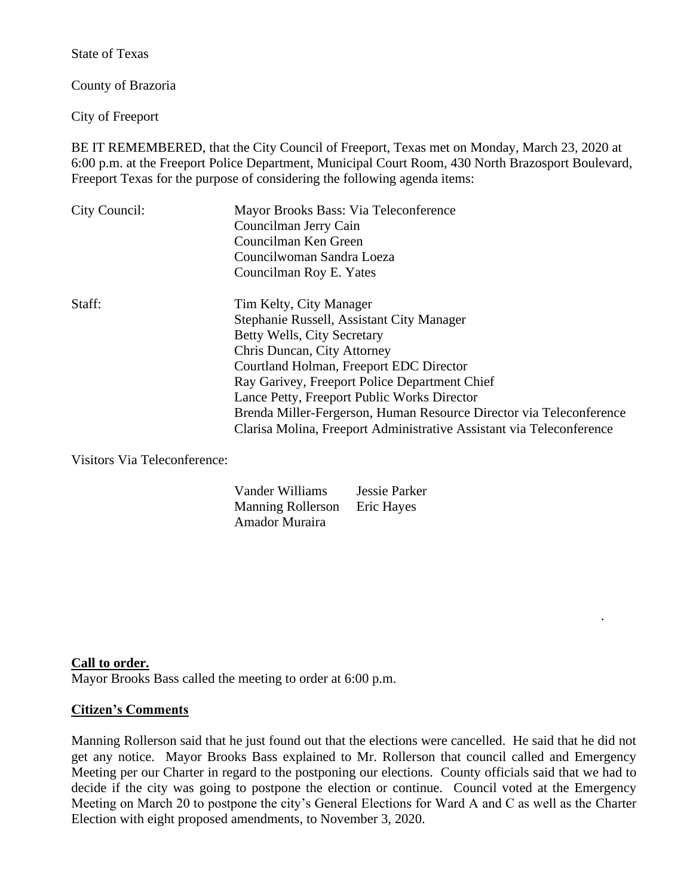State of Texas

County of Brazoria

City of Freeport

BE IT REMEMBERED, that the City Council of Freeport, Texas met on Monday, March 23, 2020 at 6:00 p.m. at the Freeport Police Department, Municipal Court Room, 430 North Brazosport Boulevard, Freeport Texas for the purpose of considering the following agenda items:

| City Council: | Mayor Brooks Bass: Via Teleconference<br>Councilman Jerry Cain<br>Councilman Ken Green<br>Councilwoman Sandra Loeza<br>Councilman Roy E. Yates                                                                                                                                |
|---------------|-------------------------------------------------------------------------------------------------------------------------------------------------------------------------------------------------------------------------------------------------------------------------------|
| Staff:        | Tim Kelty, City Manager<br>Stephanie Russell, Assistant City Manager<br>Betty Wells, City Secretary<br>Chris Duncan, City Attorney<br>Courtland Holman, Freeport EDC Director<br>Ray Garivey, Freeport Police Department Chief<br>Lance Petty, Freeport Public Works Director |
|               | Brenda Miller-Fergerson, Human Resource Director via Teleconference<br>Clarisa Molina, Freeport Administrative Assistant via Teleconference                                                                                                                                   |

Visitors Via Teleconference:

| Vander Williams          | <b>Jessie Parker</b> |
|--------------------------|----------------------|
| <b>Manning Rollerson</b> | Eric Hayes           |
| Amador Muraira           |                      |

**Call to order.**

Mayor Brooks Bass called the meeting to order at 6:00 p.m.

#### **Citizen's Comments**

Manning Rollerson said that he just found out that the elections were cancelled. He said that he did not get any notice. Mayor Brooks Bass explained to Mr. Rollerson that council called and Emergency Meeting per our Charter in regard to the postponing our elections. County officials said that we had to decide if the city was going to postpone the election or continue. Council voted at the Emergency Meeting on March 20 to postpone the city's General Elections for Ward A and C as well as the Charter Election with eight proposed amendments, to November 3, 2020.

.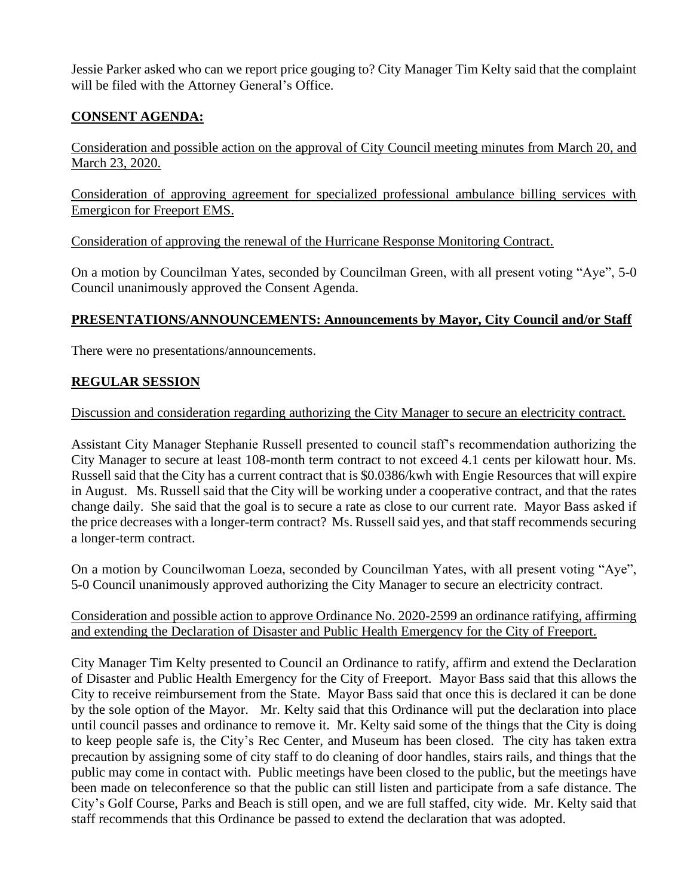Jessie Parker asked who can we report price gouging to? City Manager Tim Kelty said that the complaint will be filed with the Attorney General's Office.

# **CONSENT AGENDA:**

Consideration and possible action on the approval of City Council meeting minutes from March 20, and March 23, 2020.

Consideration of approving agreement for specialized professional ambulance billing services with Emergicon for Freeport EMS.

Consideration of approving the renewal of the Hurricane Response Monitoring Contract.

On a motion by Councilman Yates, seconded by Councilman Green, with all present voting "Aye", 5-0 Council unanimously approved the Consent Agenda.

# **PRESENTATIONS/ANNOUNCEMENTS: Announcements by Mayor, City Council and/or Staff**

There were no presentations/announcements.

# **REGULAR SESSION**

Discussion and consideration regarding authorizing the City Manager to secure an electricity contract.

Assistant City Manager Stephanie Russell presented to council staff's recommendation authorizing the City Manager to secure at least 108-month term contract to not exceed 4.1 cents per kilowatt hour. Ms. Russell said that the City has a current contract that is \$0.0386/kwh with Engie Resources that will expire in August. Ms. Russell said that the City will be working under a cooperative contract, and that the rates change daily. She said that the goal is to secure a rate as close to our current rate. Mayor Bass asked if the price decreases with a longer-term contract? Ms. Russell said yes, and that staff recommends securing a longer-term contract.

On a motion by Councilwoman Loeza, seconded by Councilman Yates, with all present voting "Aye", 5-0 Council unanimously approved authorizing the City Manager to secure an electricity contract.

### Consideration and possible action to approve Ordinance No. 2020-2599 an ordinance ratifying, affirming and extending the Declaration of Disaster and Public Health Emergency for the City of Freeport.

City Manager Tim Kelty presented to Council an Ordinance to ratify, affirm and extend the Declaration of Disaster and Public Health Emergency for the City of Freeport. Mayor Bass said that this allows the City to receive reimbursement from the State. Mayor Bass said that once this is declared it can be done by the sole option of the Mayor. Mr. Kelty said that this Ordinance will put the declaration into place until council passes and ordinance to remove it. Mr. Kelty said some of the things that the City is doing to keep people safe is, the City's Rec Center, and Museum has been closed. The city has taken extra precaution by assigning some of city staff to do cleaning of door handles, stairs rails, and things that the public may come in contact with. Public meetings have been closed to the public, but the meetings have been made on teleconference so that the public can still listen and participate from a safe distance. The City's Golf Course, Parks and Beach is still open, and we are full staffed, city wide. Mr. Kelty said that staff recommends that this Ordinance be passed to extend the declaration that was adopted.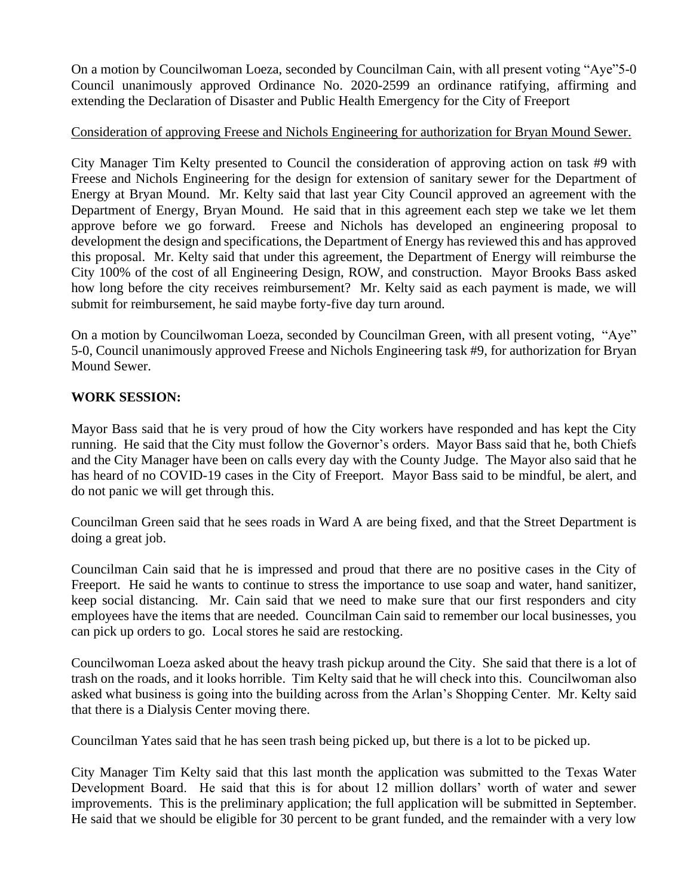On a motion by Councilwoman Loeza, seconded by Councilman Cain, with all present voting "Aye"5-0 Council unanimously approved Ordinance No. 2020-2599 an ordinance ratifying, affirming and extending the Declaration of Disaster and Public Health Emergency for the City of Freeport

## Consideration of approving Freese and Nichols Engineering for authorization for Bryan Mound Sewer.

City Manager Tim Kelty presented to Council the consideration of approving action on task #9 with Freese and Nichols Engineering for the design for extension of sanitary sewer for the Department of Energy at Bryan Mound. Mr. Kelty said that last year City Council approved an agreement with the Department of Energy, Bryan Mound. He said that in this agreement each step we take we let them approve before we go forward. Freese and Nichols has developed an engineering proposal to development the design and specifications, the Department of Energy has reviewed this and has approved this proposal. Mr. Kelty said that under this agreement, the Department of Energy will reimburse the City 100% of the cost of all Engineering Design, ROW, and construction. Mayor Brooks Bass asked how long before the city receives reimbursement? Mr. Kelty said as each payment is made, we will submit for reimbursement, he said maybe forty-five day turn around.

On a motion by Councilwoman Loeza, seconded by Councilman Green, with all present voting, "Aye" 5-0, Council unanimously approved Freese and Nichols Engineering task #9, for authorization for Bryan Mound Sewer.

## **WORK SESSION:**

Mayor Bass said that he is very proud of how the City workers have responded and has kept the City running. He said that the City must follow the Governor's orders. Mayor Bass said that he, both Chiefs and the City Manager have been on calls every day with the County Judge. The Mayor also said that he has heard of no COVID-19 cases in the City of Freeport. Mayor Bass said to be mindful, be alert, and do not panic we will get through this.

Councilman Green said that he sees roads in Ward A are being fixed, and that the Street Department is doing a great job.

Councilman Cain said that he is impressed and proud that there are no positive cases in the City of Freeport. He said he wants to continue to stress the importance to use soap and water, hand sanitizer, keep social distancing. Mr. Cain said that we need to make sure that our first responders and city employees have the items that are needed. Councilman Cain said to remember our local businesses, you can pick up orders to go. Local stores he said are restocking.

Councilwoman Loeza asked about the heavy trash pickup around the City. She said that there is a lot of trash on the roads, and it looks horrible. Tim Kelty said that he will check into this. Councilwoman also asked what business is going into the building across from the Arlan's Shopping Center. Mr. Kelty said that there is a Dialysis Center moving there.

Councilman Yates said that he has seen trash being picked up, but there is a lot to be picked up.

City Manager Tim Kelty said that this last month the application was submitted to the Texas Water Development Board. He said that this is for about 12 million dollars' worth of water and sewer improvements. This is the preliminary application; the full application will be submitted in September. He said that we should be eligible for 30 percent to be grant funded, and the remainder with a very low